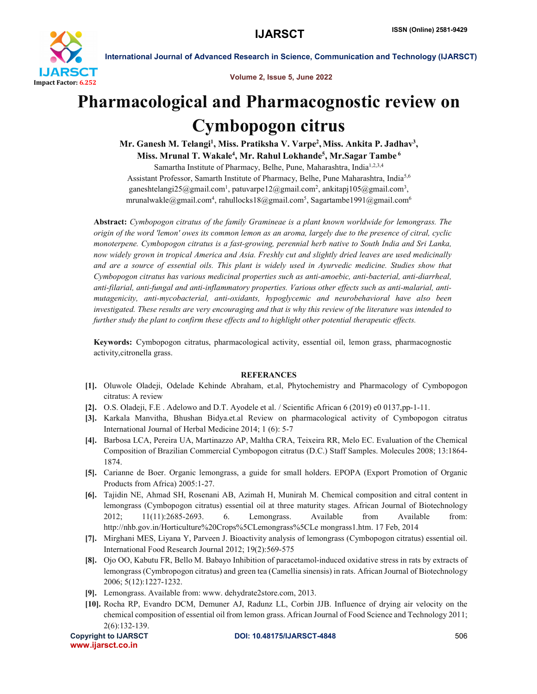

International Journal of Advanced Research in Science, Communication and Technology (IJARSCT)

Volume 2, Issue 5, June 2022

## Pharmacological and Pharmacognostic review on Cymbopogon citrus

Mr. Ganesh M. Telangi<sup>1</sup>, Miss. Pratiksha V. Varpe<sup>2</sup>, Miss. Ankita P. Jadhav<sup>3</sup>, Miss. Mrunal T. Wakale<sup>4</sup>, Mr. Rahul Lokhande<sup>5</sup>, Mr.Sagar Tambe <sup>6</sup>

Samartha Institute of Pharmacy, Belhe, Pune, Maharashtra, India<sup>1,2,3,4</sup> Assistant Professor, Samarth Institute of Pharmacy, Belhe, Pune Maharashtra, India<sup>5,6</sup> ganeshtelangi25@gmail.com<sup>1</sup>, patuvarpe12@gmail.com<sup>2</sup>, ankitapj105@gmail.com<sup>3</sup>, mrunalwakle@gmail.com<sup>4</sup>, rahullocks18@gmail.com<sup>5</sup>, Sagartambe1991@gmail.com<sup>6</sup>

Abstract: *Cymbopogon citratus of the family Gramineae is a plant known worldwide for lemongrass. The origin of the word 'lemon' owes its common lemon as an aroma, largely due to the presence of citral, cyclic monoterpene. Cymbopogon citratus is a fast-growing, perennial herb native to South India and Sri Lanka, now widely grown in tropical America and Asia. Freshly cut and slightly dried leaves are used medicinally and are a source of essential oils. This plant is widely used in Ayurvedic medicine. Studies show that Cymbopogon citratus has various medicinal properties such as anti-amoebic, anti-bacterial, anti-diarrheal, anti-filarial, anti-fungal and anti-inflammatory properties. Various other effects such as anti-malarial, antimutagenicity, anti-mycobacterial, anti-oxidants, hypoglycemic and neurobehavioral have also been investigated. These results are very encouraging and that is why this review of the literature was intended to further study the plant to confirm these effects and to highlight other potential therapeutic effects.*

Keywords: Cymbopogon citratus, pharmacological activity, essential oil, lemon grass, pharmacognostic activity,citronella grass.

## REFERANCES

- [1]. Oluwole Oladeji, Odelade Kehinde Abraham, et.al, Phytochemistry and Pharmacology of Cymbopogon citratus: A review
- [2]. O.S. Oladeji, F.E . Adelowo and D.T. Ayodele et al. / Scientific African 6 (2019) e0 0137,pp-1-11.
- [3]. Karkala Manvitha, Bhushan Bidya.et.al Review on pharmacological activity of Cymbopogon citratus International Journal of Herbal Medicine 2014; 1 (6): 5-7
- [4]. Barbosa LCA, Pereira UA, Martinazzo AP, Maltha CRA, Teixeira RR, Melo EC. Evaluation of the Chemical Composition of Brazilian Commercial Cymbopogon citratus (D.C.) Staff Samples. Molecules 2008; 13:1864- 1874.
- [5]. Carianne de Boer. Organic lemongrass, a guide for small holders. EPOPA (Export Promotion of Organic Products from Africa) 2005:1-27.
- [6]. Tajidin NE, Ahmad SH, Rosenani AB, Azimah H, Munirah M. Chemical composition and citral content in lemongrass (Cymbopogon citratus) essential oil at three maturity stages. African Journal of Biotechnology 2012; 11(11):2685-2693. 6. Lemongrass. Available from Available from: http://nhb.gov.in/Horticulture%20Crops%5CLemongrass%5CLe mongrass1.htm. 17 Feb, 2014
- [7]. Mirghani MES, Liyana Y, Parveen J. Bioactivity analysis of lemongrass (Cymbopogon citratus) essential oil. International Food Research Journal 2012; 19(2):569-575
- [8]. Ojo OO, Kabutu FR, Bello M. Babayo Inhibition of paracetamol-induced oxidative stress in rats by extracts of lemongrass (Cymbropogon citratus) and green tea (Camellia sinensis) in rats. African Journal of Biotechnology 2006; 5(12):1227-1232.
- [9]. Lemongrass. Available from: www. dehydrate2store.com, 2013.
- [10]. Rocha RP, Evandro DCM, Demuner AJ, Radunz LL, Corbin JJB. Influence of drying air velocity on the chemical composition of essential oil from lemon grass. African Journal of Food Science and Technology 2011; 2(6):132-139.

```
www.ijarsct.co.in
```